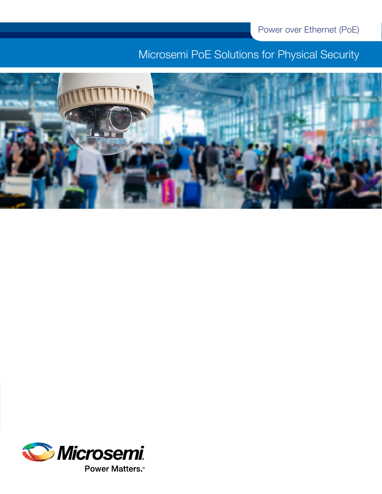# Microsemi PoE Solutions for Physical Security



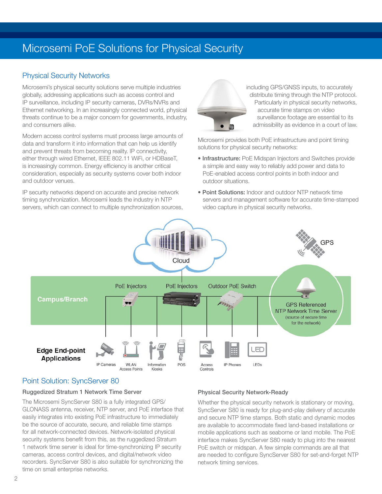# Microsemi PoE Solutions for Physical Security

# Physical Security Networks

Microsemi's physical security solutions serve multiple industries globally, addressing applications such as access control and IP surveillance, including IP security cameras, DVRs/NVRs and Ethernet networking. In an increasingly connected world, physical threats continue to be a major concern for governments, industry, and consumers alike.

Modern access control systems must process large amounts of data and transform it into information that can help us identify and prevent threats from becoming reality. IP connectivity, either through wired Ethernet, IEEE 802.11 WiFi, or HDBaseT, is increasingly common. Energy efficiency is another critical consideration, especially as security systems cover both indoor and outdoor venues.

IP security networks depend on accurate and precise network timing synchronization. Microsemi leads the industry in NTP servers, which can connect to multiple synchronization sources,



 including GPS/GNSS inputs, to accurately distribute timing through the NTP protocol. Particularly in physical security networks, accurate time stamps on video surveillance footage are essential to its admissibility as evidence in a court of law.

Microsemi provides both PoE infrastructure and point timing solutions for physical security networks:

- Infrastructure: PoE Midspan Injectors and Switches provide a simple and easy way to reliably add power and data to PoE-enabled access control points in both indoor and outdoor situations.
- Point Solutions: Indoor and outdoor NTP network time servers and management software for accurate time-stamped video capture in physical security networks.



# Point Solution: SyncServer 80

#### Ruggedized Stratum 1 Network Time Server

The Microsemi SyncServer S80 is a fully integrated GPS/ GLONASS antenna, receiver, NTP server, and PoE interface that easily integrates into existing PoE infrastructure to immediately be the source of accurate, secure, and reliable time stamps for all network-connected devices. Network-isolated physical security systems benefit from this, as the ruggedized Stratum 1 network time server is ideal for time-synchronizing IP security cameras, access control devices, and digital/network video recorders. SyncServer S80 is also suitable for synchronizing the time on small enterprise networks.

#### Physical Security Network-Ready

Whether the physical security network is stationary or moving, SyncServer S80 is ready for plug-and-play delivery of accurate and secure NTP time stamps. Both static and dynamic modes are available to accommodate fixed land-based installations or mobile applications such as seaborne or land mobile. The PoE interface makes SyncServer S80 ready to plug into the nearest PoE switch or midspan. A few simple commands are all that are needed to configure SyncServer S80 for set-and-forget NTP network timing services.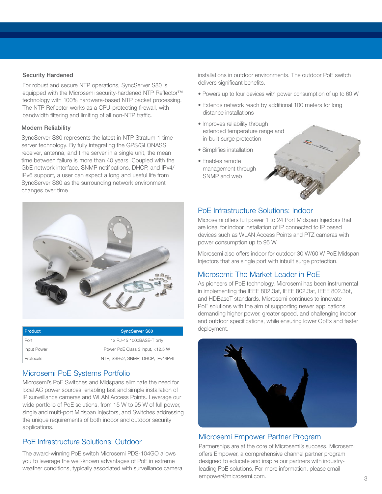#### Security Hardened

For robust and secure NTP operations, SyncServer S80 is equipped with the Microsemi security-hardened NTP Reflector™ technology with 100% hardware-based NTP packet processing. The NTP Reflector works as a CPU-protecting firewall, with bandwidth filtering and limiting of all non-NTP traffic.

#### Modern Reliability

SyncServer S80 represents the latest in NTP Stratum 1 time server technology. By fully integrating the GPS/GLONASS receiver, antenna, and time server in a single unit, the mean time between failure is more than 40 years. Coupled with the GbE network interface, SNMP notifications, DHCP, and IPv4/ IPv6 support, a user can expect a long and useful life from SyncServer S80 as the surrounding network environment changes over time.



| l Product          | <b>SyncServer S80</b>             |  |  |  |  |
|--------------------|-----------------------------------|--|--|--|--|
| Port               | 1x RJ-45 1000BASE-T only          |  |  |  |  |
| <b>Input Power</b> | Power PoE Class 3 input, <12.5 W  |  |  |  |  |
| Protocals          | NTP, SSHv2, SNMP, DHCP, IPv4/IPv6 |  |  |  |  |

### Microsemi PoE Systems Portfolio

Microsemi's PoE Switches and Midspans eliminate the need for local AC power sources, enabling fast and simple installation of IP surveillance cameras and WLAN Access Points. Leverage our wide portfolio of PoE solutions, from 15 W to 95 W of full power, single and multi-port Midspan Injectors, and Switches addressing the unique requirements of both indoor and outdoor security applications.

### PoE Infrastructure Solutions: Outdoor

The award-winning PoE switch Microsemi PDS-104GO allows you to leverage the well-known advantages of PoE in extreme weather conditions, typically associated with surveillance camera installations in outdoor environments. The outdoor PoE switch delivers significant benefits:

- Powers up to four devices with power consumption of up to 60 W
- Extends network reach by additional 100 meters for long distance installations
- Improves reliability through extended temperature range and in-built surge protection
- Simplifies installation
- Enables remote management through SNMP and web



Microsemi offers full power 1 to 24 Port Midspan Injectors that are ideal for indoor installation of IP connected to IP based devices such as WLAN Access Points and PTZ cameras with power consumption up to 95 W.

Microsemi also offers indoor for outdoor 30 W/60 W PoE Midspan Injectors that are single port with inbuilt surge protection.

### Microsemi: The Market Leader in PoE

As pioneers of PoE technology, Microsemi has been instrumental in implementing the IEEE 802.3af, IEEE 802.3at, IEEE 802.3bt, and HDBaseT standards. Microsemi continues to innovate PoE solutions with the aim of supporting newer applications demanding higher power, greater speed, and challenging indoor and outdoor specifications, while ensuring lower OpEx and faster deployment.



# Microsemi Empower Partner Program

Partnerships are at the core of Microsemi's success. Microsemi offers Empower, a comprehensive channel partner program designed to educate and inspire our partners with industryleading PoE solutions. For more information, please email empower@microsemi.com.